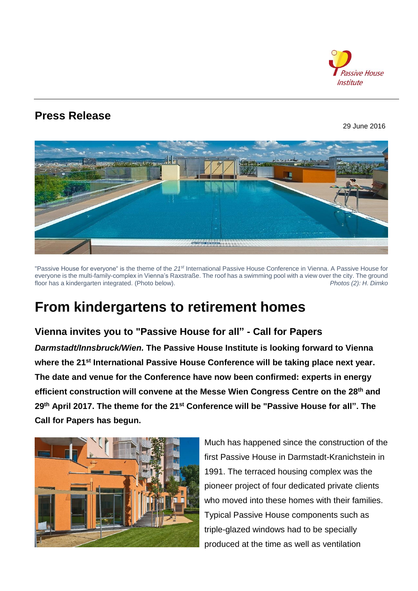

## **Press Release**

29 June 2016



"Passive House for everyone" is the theme of the *21st* International Passive House Conference in Vienna. A Passive House for everyone is the multi-family-complex in Vienna's Raxstraße. The roof has a swimming pool with a view over the city. The ground floor has a kindergarten integrated. (Photo below). *Photos (2): H. Dimko*

# **From kindergartens to retirement homes**

### **Vienna invites you to "Passive House for all" - Call for Papers**

*Darmstadt/Innsbruck/Wien.* **The Passive House Institute is looking forward to Vienna where the 21st International Passive House Conference will be taking place next year. The date and venue for the Conference have now been confirmed: experts in energy efficient construction will convene at the Messe Wien Congress Centre on the 28th and 29th April 2017. The theme for the 21 st Conference will be "Passive House for all". The Call for Papers has begun.**



Much has happened since the construction of the first Passive House in Darmstadt-Kranichstein in 1991. The terraced housing complex was the pioneer project of four dedicated private clients who moved into these homes with their families. Typical Passive House components such as triple-glazed windows had to be specially produced at the time as well as ventilation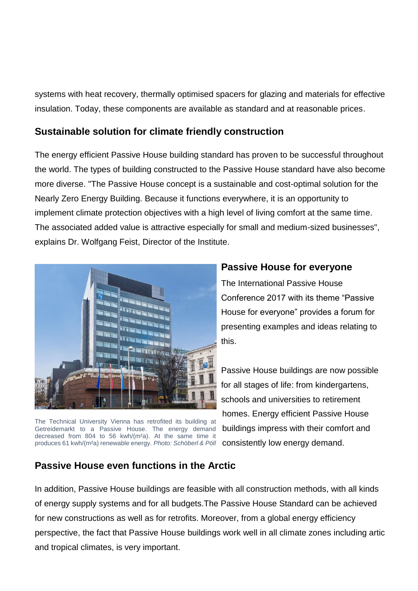systems with heat recovery, thermally optimised spacers for glazing and materials for effective insulation. Today, these components are available as standard and at reasonable prices.

### **Sustainable solution for climate friendly construction**

The energy efficient Passive House building standard has proven to be successful throughout the world. The types of building constructed to the Passive House standard have also become more diverse. "The Passive House concept is a sustainable and cost-optimal solution for the Nearly Zero Energy Building. Because it functions everywhere, it is an opportunity to implement climate protection objectives with a high level of living comfort at the same time. The associated added value is attractive especially for small and medium-sized businesses", explains Dr. Wolfgang Feist, Director of the Institute.



The Technical University Vienna has retrofited its building at Getreidemarkt to a Passive House. The energy demand decreased from 804 to 56 kwh/(m<sup>2</sup>a). At the same time it produces 61 kwh/(m²a) renewable energy. *Photo: Schöberl & Pöll*

### **Passive House for everyone**

The International Passive House Conference 2017 with its theme "Passive House for everyone" provides a forum for presenting examples and ideas relating to this.

Passive House buildings are now possible for all stages of life: from kindergartens, schools and universities to retirement homes. Energy efficient Passive House buildings impress with their comfort and consistently low energy demand.

### **Passive House even functions in the Arctic**

In addition, Passive House buildings are feasible with all construction methods, with all kinds of energy supply systems and for all budgets.The Passive House Standard can be achieved for new constructions as well as for retrofits. Moreover, from a global energy efficiency perspective, the fact that Passive House buildings work well in all climate zones including artic and tropical climates, is very important.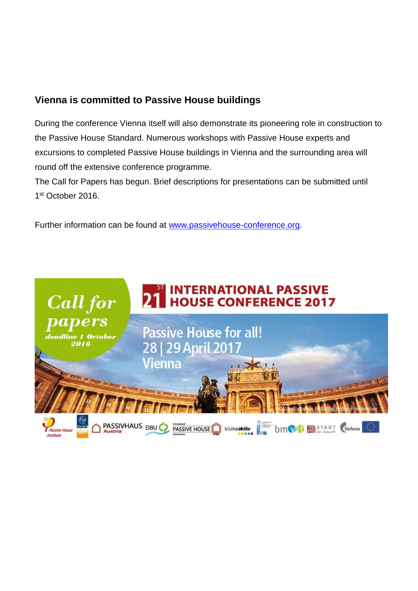### **Vienna is committed to Passive House buildings**

During the conference Vienna itself will also demonstrate its pioneering role in construction to the Passive House Standard. Numerous workshops with Passive House experts and excursions to completed Passive House buildings in Vienna and the surrounding area will round off the extensive conference programme.

The Call for Papers has begun. Brief descriptions for presentations can be submitted until 1 st October 2016.

Further information can be found at [www.passivehouse-conference.org.](http://www.passivehouse-conference.org/)